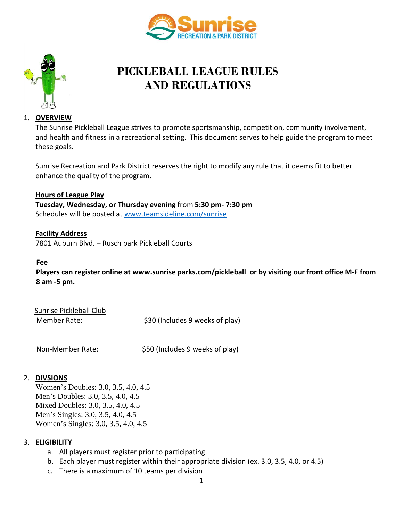



# **PICKLEBALL LEAGUE RULES AND REGULATIONS**

#### 1. **OVERVIEW**

The Sunrise Pickleball League strives to promote sportsmanship, competition, community involvement, and health and fitness in a recreational setting. This document serves to help guide the program to meet these goals.

Sunrise Recreation and Park District reserves the right to modify any rule that it deems fit to better enhance the quality of the program.

#### **Hours of League Play**

**Tuesday, Wednesday, or Thursday evening** from **5:30 pm- 7:30 pm** Schedules will be posted at [www.teamsideline.com/sunrise](http://www.teamsideline.com/sunrise)

**Facility Address** 7801 Auburn Blvd. – Rusch park Pickleball Courts

#### **Fee**

**Players can register online at www.sunrise parks.com/pickleball or by visiting our front office M-F from 8 am -5 pm.** 

| Sunrise Pickleball Club |                                 |
|-------------------------|---------------------------------|
| Member Rate:            | \$30 (Includes 9 weeks of play) |

Non-Member Rate:  $\frac{1}{2}$  \$50 (Includes 9 weeks of play)

#### 2. **DIVSIONS**

Women's Doubles: 3.0, 3.5, 4.0, 4.5 Men's Doubles: 3.0, 3.5, 4.0, 4.5 Mixed Doubles: 3.0, 3.5, 4.0, 4.5 Men's Singles: 3.0, 3.5, 4.0, 4.5 Women's Singles: 3.0, 3.5, 4.0, 4.5

#### 3. **ELIGIBILITY**

- a. All players must register prior to participating.
- b. Each player must register within their appropriate division (ex. 3.0, 3.5, 4.0, or 4.5)
- c. There is a maximum of 10 teams per division